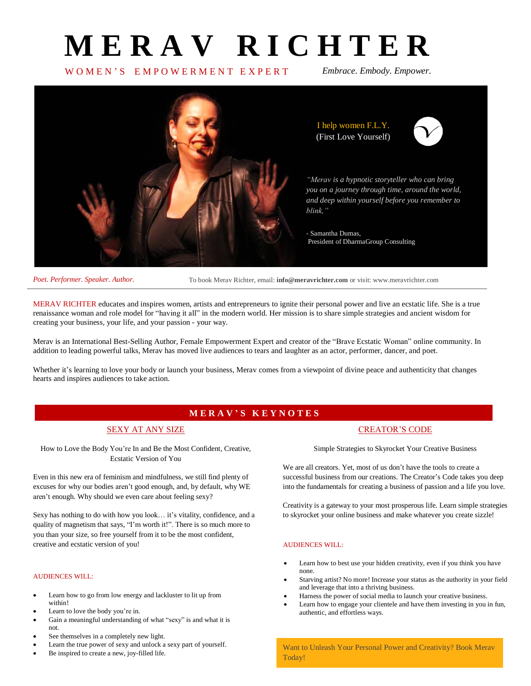# **M E R A V R I C H T E R**

# W O M E N ' S E M P O W E R M E N T E X P E R T *Embrace. Embody. Empower.*



I help women F.L.Y. (First Love Yourself)



*"Merav is a hypnotic storyteller who can bring you on a journey through time, around the world, and deep within yourself before you remember to blink,"*

- Samantha Dumas, President of DharmaGroup Consulting

*Poet. Performer. Speaker. Author.*

To book Merav Richter, email: **info@meravrichter.com** or visit: www.meravrichter.com

MERAV RICHTER educates and inspires women, artists and entrepreneurs to ignite their personal power and live an ecstatic life. She is a true renaissance woman and role model for "having it all" in the modern world. Her mission is to share simple strategies and ancient wisdom for creating your business, your life, and your passion - your way.

Merav is an International Best-Selling Author, Female Empowerment Expert and creator of the "Brave Ecstatic Woman" online community. In addition to leading powerful talks, Merav has moved live audiences to tears and laughter as an actor, performer, dancer, and poet.

Whether it's learning to love your body or launch your business, Merav comes from a viewpoint of divine peace and authenticity that changes hearts and inspires audiences to take action.

# **M E R A V ' S K E Y N O T E S**

## SEXY AT ANY SIZE

How to Love the Body You're In and Be the Most Confident, Creative, Ecstatic Version of You

Even in this new era of feminism and mindfulness, we still find plenty of excuses for why our bodies aren't good enough, and, by default, why WE aren't enough. Why should we even care about feeling sexy?

Sexy has nothing to do with how you look… it's vitality, confidence, and a quality of magnetism that says, "I'm worth it!". There is so much more to you than your size, so free yourself from it to be the most confident, creative and ecstatic version of you!

### AUDIENCES WILL:

- Learn how to go from low energy and lackluster to lit up from within!
- Learn to love the body you're in.
- Gain a meaningful understanding of what "sexy" is and what it is not.
- See themselves in a completely new light.
- Learn the true power of sexy and unlock a sexy part of yourself.
- Be inspired to create a new, joy-filled life.

## CREATOR'S CODE

Simple Strategies to Skyrocket Your Creative Business

We are all creators. Yet, most of us don't have the tools to create a successful business from our creations. The Creator's Code takes you deep into the fundamentals for creating a business of passion and a life you love.

Creativity is a gateway to your most prosperous life. Learn simple strategies to skyrocket your online business and make whatever you create sizzle!

### AUDIENCES WILL:

- Learn how to best use your hidden creativity, even if you think you have none.
- Starving artist? No more! Increase your status as the authority in your field and leverage that into a thriving business.
- Harness the power of social media to launch your creative business.
- Learn how to engage your clientele and have them investing in you in fun, authentic, and effortless ways.

Want to Unleash Your Personal Power and Creativity? Book Merav Today!